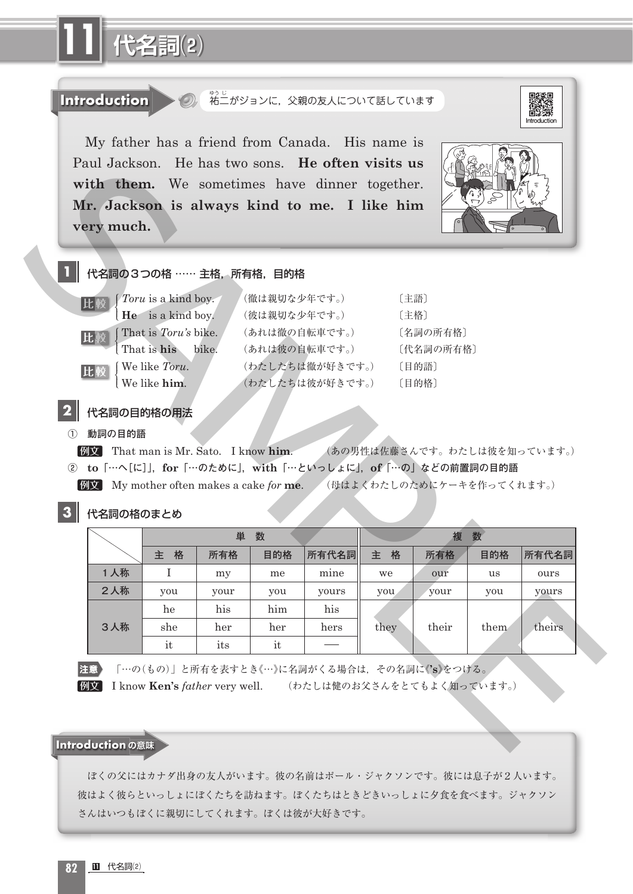

「…の(もの)」と所有を表すとき《…》に名詞がくる場合は,その名詞に《**'s**》をつける。

例文 I know **Ken's** *father* very well. (わたしは健のお父さんをとてもよく知っています。)

## **Introduction の意味**

 ぼくの父にはカナダ出身の友人がいます。彼の名前はポール・ジャクソンです。彼には息子が2人います。 彼はよく彼らといっしょにぼくたちを訪ねます。ぼくたちはときどきいっしょに夕食を食べます。ジャクソン さんはいつもぼくに親切にしてくれます。ぼくは彼が大好きです。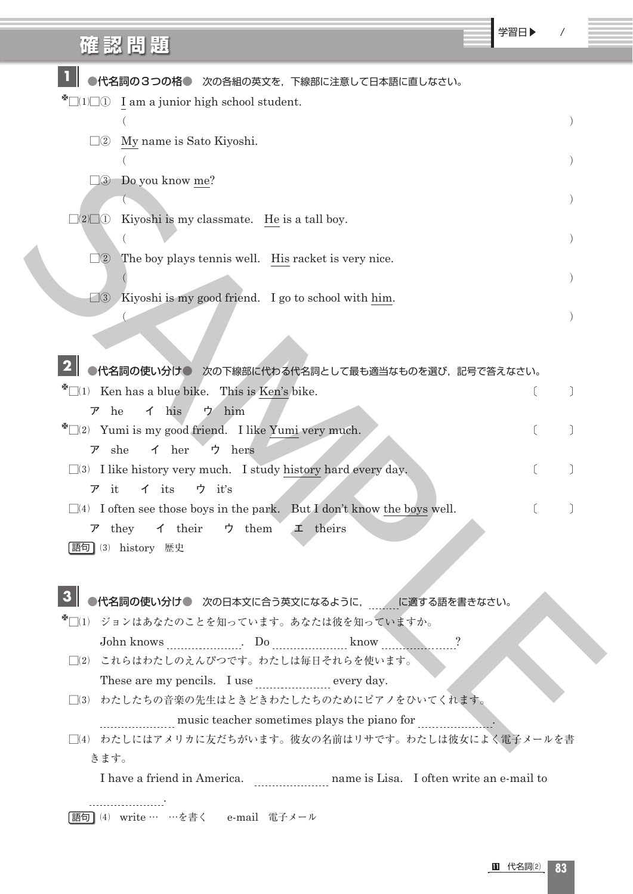| 確認問題                                                                                                                                                            | 学習日▶ |  |
|-----------------------------------------------------------------------------------------------------------------------------------------------------------------|------|--|
| ●代名詞の3つの格● 次の各組の英文を、下線部に注意して日本語に直しなさい。                                                                                                                          |      |  |
| $\Box(1)\Box(1)$ I am a junior high school student.                                                                                                             |      |  |
| My name is Sato Kiyoshi.<br>$\square$ 2                                                                                                                         |      |  |
| Do you know me?<br>$\square$ 3                                                                                                                                  |      |  |
|                                                                                                                                                                 |      |  |
| $\square(2)\square\square\square$<br>Kiyoshi is my classmate. He is a tall boy.                                                                                 |      |  |
| The boy plays tennis well. His racket is very nice.<br>$\square$ <sup>2</sup>                                                                                   |      |  |
| Kiyoshi is my good friend. I go to school with him.<br>$\square$ 3                                                                                              |      |  |
|                                                                                                                                                                 |      |  |
|                                                                                                                                                                 |      |  |
| ●代名詞の使い分け● 次の下線部に代わる代名詞として最も適当なものを選び、記号で答えなさい。                                                                                                                  |      |  |
| $\mathbb{Z}$ $(1)$ Ken has a blue bike. This is Ken's bike.<br>$\uparrow$ his<br>ウ him<br>$\nabla$ he                                                           |      |  |
| $\mathbb{Z}[\square(2)$ Yumi is my good friend. I like Yumi very much.                                                                                          |      |  |
| she<br>$\uparrow$ her<br>ウ hers<br>ア<br>$\square$ (3) I like history very much. I study history hard every day.                                                 |      |  |
| ウ it's<br>it<br>$\uparrow$ its<br>ア                                                                                                                             |      |  |
| $\Box$ (4) I often see those boys in the park. But I don't know the boys well.<br>$\vec{r}$ they $\vec{\gamma}$ their $\vec{\gamma}$ them $\vec{\gamma}$ theirs |      |  |
| [語句] (3) history 歴史                                                                                                                                             |      |  |
|                                                                                                                                                                 |      |  |
|                                                                                                                                                                 |      |  |
| * □ (1) ジョンはあなたのことを知っています。あなたは彼を知っていますか。                                                                                                                        |      |  |
|                                                                                                                                                                 |      |  |
| □(2) これらはわたしのえんぴつです。わたしは毎日それらを使います。                                                                                                                             |      |  |
| These are my pencils. I use every day.                                                                                                                          |      |  |
| □(3) わたしたちの音楽の先生はときどきわたしたちのためにピアノをひいてくれます。                                                                                                                      |      |  |
| music teacher sometimes plays the piano for                                                                                                                     |      |  |
| □(4) わたしにはアメリカに友だちがいます。彼女の名前はリサです。わたしは彼女によく電子メールを書<br>きます。                                                                                                      |      |  |
|                                                                                                                                                                 |      |  |
| <b>語句</b> (4) write … …を書く e-mail 電子メール                                                                                                                         |      |  |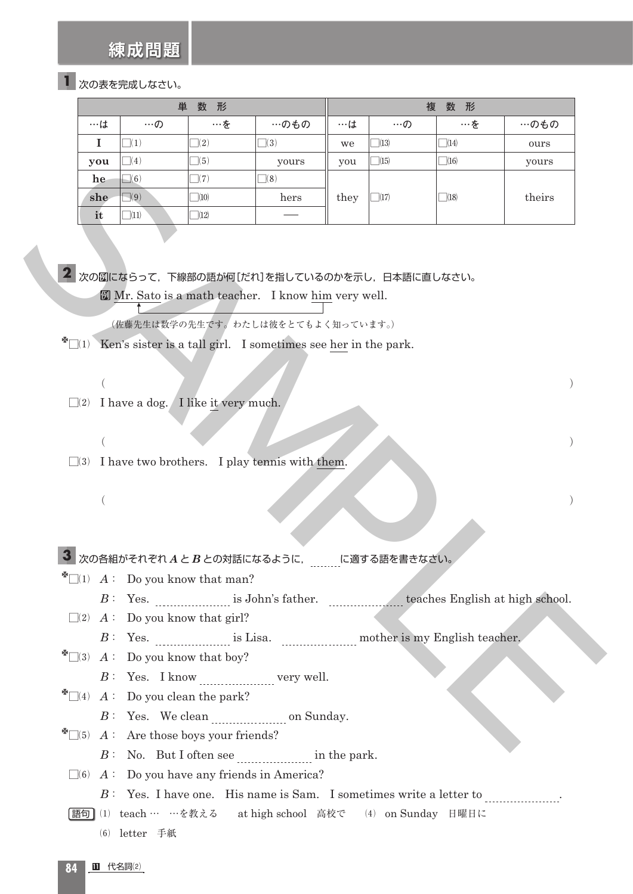**練成問題**

## 次の表を完成しなさい。 **1**

| 単<br>数形                 |                                                                     |                                                      |                                                                                                   | 数形<br>複 |                      |            |        |
|-------------------------|---------------------------------------------------------------------|------------------------------------------------------|---------------------------------------------------------------------------------------------------|---------|----------------------|------------|--------|
| $\cdots$ ( $\downarrow$ | $\cdots$ の                                                          | …を                                                   | …のもの                                                                                              | ・・・は    | $\cdots \mathcal{D}$ | …を         | …のもの   |
| $\mathbf I$             | $\square(1)$                                                        | $\square(2)$                                         | $\Box(3)$                                                                                         | we      | $\Box(13)$           | $\Box(14)$ | ours   |
| you                     | $\Box(4)$                                                           | $\Box(5)$                                            | yours                                                                                             | you     | $\Box(15)$           | $\Box(16)$ | yours  |
| he                      | $\Box(6)$                                                           | $\square(7)$                                         | $\Box(8)$                                                                                         |         |                      |            |        |
| she                     | $\Box(9)$                                                           | $\Box(10)$                                           | hers                                                                                              | they    | $\Box(17)$           | $\Box(18)$ | theirs |
| it                      | $\Box(11)$                                                          | $\Box(12)$                                           |                                                                                                   |         |                      |            |        |
|                         |                                                                     |                                                      | 2 次の例にならって、下線部の語が何[だれ]を指しているのかを示し、日本語に直しなさい。<br>Mr. Sato is a math teacher. I know him very well. |         |                      |            |        |
|                         |                                                                     |                                                      |                                                                                                   |         |                      |            |        |
|                         |                                                                     |                                                      | (佐藤先生は数学の先生です。わたしは彼をとてもよく知っています。)                                                                 |         |                      |            |        |
|                         |                                                                     |                                                      | $\exists$ (1) Ken's sister is a tall girl. I sometimes see her in the park.                       |         |                      |            |        |
|                         |                                                                     |                                                      |                                                                                                   |         |                      |            |        |
|                         |                                                                     |                                                      |                                                                                                   |         |                      |            |        |
|                         |                                                                     | $\Box$ (2) I have a dog. I like it very much.        |                                                                                                   |         |                      |            |        |
|                         |                                                                     |                                                      |                                                                                                   |         |                      |            |        |
|                         |                                                                     |                                                      |                                                                                                   |         |                      |            |        |
|                         |                                                                     |                                                      | $\square$ (3) I have two brothers. I play tennis with them.                                       |         |                      |            |        |
|                         |                                                                     |                                                      |                                                                                                   |         |                      |            |        |
|                         |                                                                     |                                                      |                                                                                                   |         |                      |            |        |
|                         |                                                                     |                                                      |                                                                                                   |         |                      |            |        |
|                         |                                                                     |                                                      |                                                                                                   |         |                      |            |        |
|                         |                                                                     |                                                      | 3 次の各組がそれぞれ $A \succeq B$ との対話になるように, に適する語を書きなさい。                                                |         |                      |            |        |
|                         |                                                                     | $\sum_{i=1}^{\infty}$ a: Do you know that man?       |                                                                                                   |         |                      |            |        |
|                         |                                                                     |                                                      | $B:$ Yes. $\qquad$ is John's father. $\qquad$ teaches English at high school.                     |         |                      |            |        |
|                         | $\Box(2)$ A: Do you know that girl?                                 |                                                      |                                                                                                   |         |                      |            |        |
|                         |                                                                     |                                                      | $B:$ Yes. $\qquad$ is Lisa. $\qquad$ mother is my English teacher.                                |         |                      |            |        |
|                         | $\mathbb{Z}[\square(3) \quad A: \quad \text{Do you know that boy?}$ |                                                      |                                                                                                   |         |                      |            |        |
|                         |                                                                     |                                                      | $B:$ Yes. I know $\ldots$ very well.                                                              |         |                      |            |        |
|                         |                                                                     | $\mathbb{Z}$ $(4)$ $A:$ Do you clean the park?       |                                                                                                   |         |                      |            |        |
|                         |                                                                     |                                                      | $B:$ Yes. We clean $\sim$ on Sunday.                                                              |         |                      |            |        |
|                         |                                                                     | $\mathbb{Z}$ = (5) $A:$ Are those boys your friends? |                                                                                                   |         |                      |            |        |
|                         |                                                                     |                                                      | $B:$ No. But I often see in the park.                                                             |         |                      |            |        |

- 次の例にならって,下線部の語が何[だれ]を指しているのかを示し,日本語に直しなさい。 **2** 例 Mr. Sato is a math teacher. I know him very well.
	- (佐藤先生は数学の先生です。わたしは彼をとてもよく知っています。)
- $\mathbb{Z}$  (1) Ken's sister is a tall girl. I sometimes see her in the park.
- $\square(2)$  I have a dog. I like it very much.
- $\square$ (3) I have two brothers. I play tennis with them.
- $($  ) and  $($

- $\sqrt[8]{\hspace{1cm}}(1)$  *A* : Do you know that man?
	- *B* : Yes. is John's father. teaches English at high school.
- $\square(2)$  *A* : Do you know that girl?
	- *B* : Yes. is Lisa. mother is my English teacher.
- $\mathbb{Z} \square(3)$  *A*: Do you know that boy?
	- *B* : Yes. I know very well.
- $\mathbb{Z}[\mathbb{Z}(4) \mid A: \text{Do you clean the park?}$ 
	- *B* : Yes. We clean on Sunday.
- $\mathbb{Z}\left[\begin{matrix}15\end{matrix}\right]$  *A* : Are those boys your friends?
	- $B:$  No. But I often see  $\frac{1}{1}$  in the park.
	- $\square$ (6) *A* : Do you have any friends in America?
		- *B* : Yes. I have one. His name is Sam. I sometimes write a letter to *mush in the set of the set of the set of the set of the set of the set of the set of the set of the set of the set of the set of the set of the set of*
	- ⑴ teach … …を教える at high school 高校で ⑷ on Sunday 日曜日に 語句
		- ⑹ letter 手紙